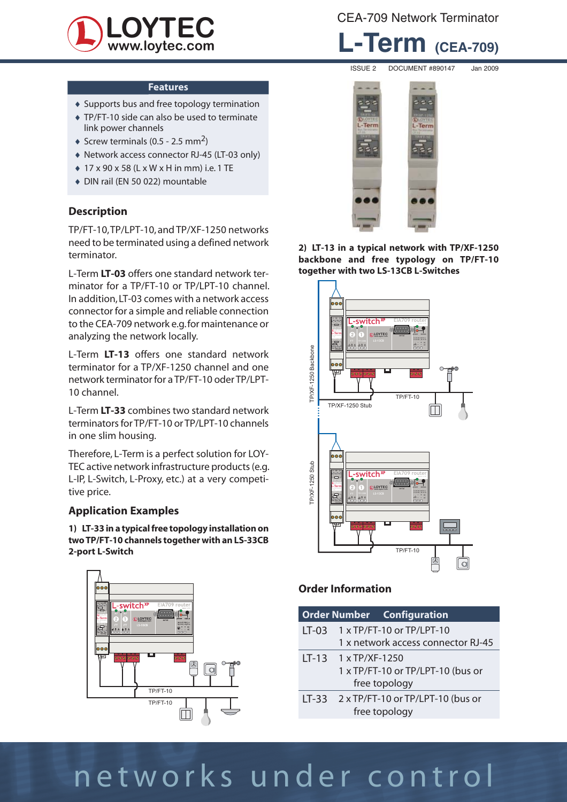

CEA-709 Network Terminator

## **L-Term (CEA-709)**

#### **Features**

- ♦ Supports bus and free topology termination
- ♦ TP/FT-10 side can also be used to terminate link power channels
- $\triangleleft$  Screw terminals (0.5 2.5 mm<sup>2</sup>)
- ♦ Network access connector RJ-45 (LT-03 only)
- ♦ 17 x 90 x 58 (L x W x H in mm) i.e. 1 TE
- ♦ DIN rail (EN 50 022) mountable

### **Description**

TP/FT-10, TP/LPT-10, and TP/XF-1250 networks need to be terminated using a defined network terminator.

L-Term **LT-03** offers one standard network terminator for a TP/FT-10 or TP/LPT-10 channel. In addition, LT-03 comes with a network access connector for a simple and reliable connection to the CEA-709 network e.g. for maintenance or analyzing the network locally.

L-Term **LT-13** offers one standard network terminator for a TP/XF-1250 channel and one network terminator for a TP/FT-10 oder TP/LPT-10 channel.

L-Term **LT-33** combines two standard network terminators for TP/FT-10 or TP/LPT-10 channels in one slim housing.

Therefore, L-Term is a perfect solution for LOY-TEC active network infrastructure products (e.g. L-IP, L-Switch, L-Proxy, etc.) at a very competitive price.

### **Application Examples**

**1) LT-33 in a typical free topology installation on two TP/FT-10 channels together with an LS-33CB 2-port L-Switch**





**2) LT-13 in a typical network with TP/XF-1250 backbone and free typology on TP/FT-10 together with two LS-13CB L-Switches**



### **Order Information**

|         | <b>Order Number Configuration</b>  |  |  |
|---------|------------------------------------|--|--|
| $LT-03$ | $1 \times TP/FT-10$ or $TP/LPT-10$ |  |  |
|         | 1 x network access connector RJ-45 |  |  |
|         | $LT-13$ 1 x TP/XF-1250             |  |  |
|         | 1 x TP/FT-10 or TP/LPT-10 (bus or  |  |  |
|         | free topology                      |  |  |
| $LT-33$ | 2 x TP/FT-10 or TP/LPT-10 (bus or  |  |  |
|         | free topology                      |  |  |

# networks under control